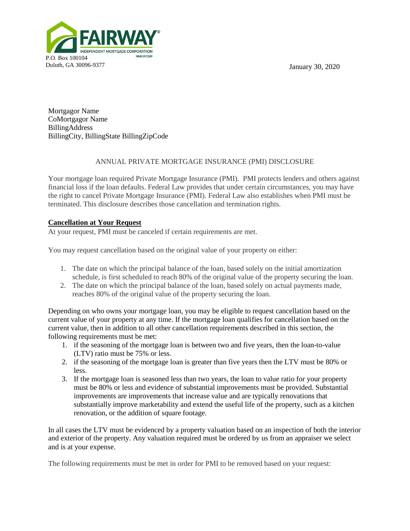January 30, 2020



Mortgagor Name CoMortgagor Name BillingAddress BillingCity, BillingState BillingZipCode

## ANNUAL PRIVATE MORTGAGE INSURANCE (PMI) DISCLOSURE

Your mortgage loan required Private Mortgage Insurance (PMI). PMI protects lenders and others against financial loss if the loan defaults. Federal Law provides that under certain circumstances, you may have the right to cancel Private Mortgage Insurance (PMI). Federal Law also establishes when PMI must be terminated. This disclosure describes those cancellation and termination rights.

## **Cancellation at Your Request**

At your request, PMI must be canceled if certain requirements are met.

You may request cancellation based on the original value of your property on either:

- 1. The date on which the principal balance of the loan, based solely on the initial amortization schedule, is first scheduled to reach 80% of the original value of the property securing the loan.
- 2. The date on which the principal balance of the loan, based solely on actual payments made, reaches 80% of the original value of the property securing the loan.

Depending on who owns your mortgage loan, you may be eligible to request cancellation based on the current value of your property at any time. If the mortgage loan qualifies for cancellation based on the current value, then in addition to all other cancellation requirements described in this section, the following requirements must be met:

- 1. if the seasoning of the mortgage loan is between two and five years, then the loan-to-value (LTV) ratio must be 75% or less.
- 2. if the seasoning of the mortgage loan is greater than five years then the LTV must be 80% or less.
- 3. If the mortgage loan is seasoned less than two years, the loan to value ratio for your property must be 80% or less and evidence of substantial improvements must be provided. Substantial improvements are improvements that increase value and are typically renovations that substantially improve marketability and extend the useful life of the property, such as a kitchen renovation, or the addition of square footage.

In all cases the LTV must be evidenced by a property valuation based on an inspection of both the interior and exterior of the property. Any valuation required must be ordered by us from an appraiser we select and is at your expense.

The following requirements must be met in order for PMI to be removed based on your request: